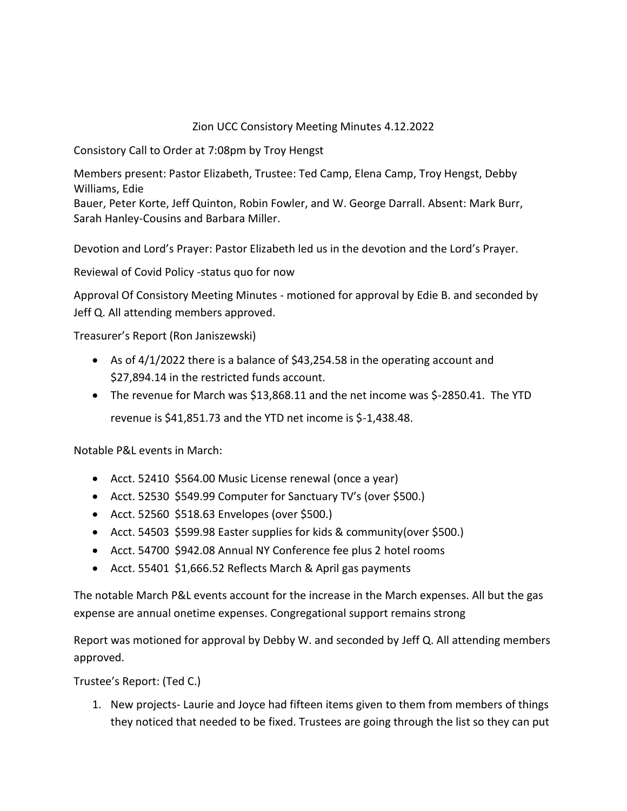# Zion UCC Consistory Meeting Minutes 4.12.2022

Consistory Call to Order at 7:08pm by Troy Hengst

Members present: Pastor Elizabeth, Trustee: Ted Camp, Elena Camp, Troy Hengst, Debby Williams, Edie

Bauer, Peter Korte, Jeff Quinton, Robin Fowler, and W. George Darrall. Absent: Mark Burr, Sarah Hanley-Cousins and Barbara Miller.

Devotion and Lord's Prayer: Pastor Elizabeth led us in the devotion and the Lord's Prayer.

Reviewal of Covid Policy -status quo for now

Approval Of Consistory Meeting Minutes - motioned for approval by Edie B. and seconded by Jeff Q. All attending members approved.

Treasurer's Report (Ron Janiszewski)

- As of 4/1/2022 there is a balance of \$43,254.58 in the operating account and \$27,894.14 in the restricted funds account.
- The revenue for March was \$13,868.11 and the net income was \$-2850.41. The YTD revenue is \$41,851.73 and the YTD net income is \$-1,438.48.

Notable P&L events in March:

- Acct. 52410 \$564.00 Music License renewal (once a year)
- Acct. 52530 \$549.99 Computer for Sanctuary TV's (over \$500.)
- Acct. 52560 \$518.63 Envelopes (over \$500.)
- Acct. 54503 \$599.98 Easter supplies for kids & community(over \$500.)
- Acct. 54700 \$942.08 Annual NY Conference fee plus 2 hotel rooms
- Acct. 55401 \$1,666.52 Reflects March & April gas payments

The notable March P&L events account for the increase in the March expenses. All but the gas expense are annual onetime expenses. Congregational support remains strong

Report was motioned for approval by Debby W. and seconded by Jeff Q. All attending members approved.

Trustee's Report: (Ted C.)

1. New projects- Laurie and Joyce had fifteen items given to them from members of things they noticed that needed to be fixed. Trustees are going through the list so they can put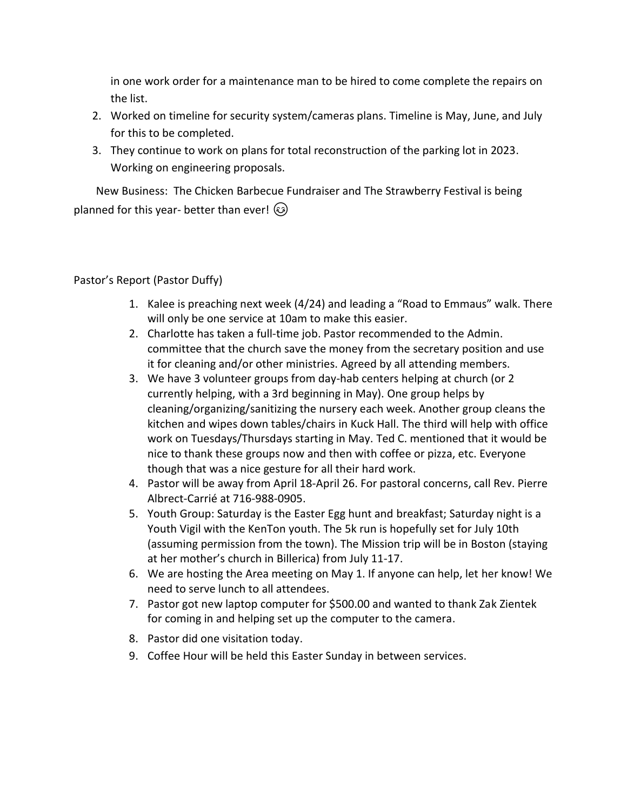in one work order for a maintenance man to be hired to come complete the repairs on the list.

- 2. Worked on timeline for security system/cameras plans. Timeline is May, June, and July for this to be completed.
- 3. They continue to work on plans for total reconstruction of the parking lot in 2023. Working on engineering proposals.

 New Business: The Chicken Barbecue Fundraiser and The Strawberry Festival is being planned for this year- better than ever!  $\circled{e}$ 

Pastor's Report (Pastor Duffy)

- 1. Kalee is preaching next week (4/24) and leading a "Road to Emmaus" walk. There will only be one service at 10am to make this easier.
- 2. Charlotte has taken a full-time job. Pastor recommended to the Admin. committee that the church save the money from the secretary position and use it for cleaning and/or other ministries. Agreed by all attending members.
- 3. We have 3 volunteer groups from day-hab centers helping at church (or 2 currently helping, with a 3rd beginning in May). One group helps by cleaning/organizing/sanitizing the nursery each week. Another group cleans the kitchen and wipes down tables/chairs in Kuck Hall. The third will help with office work on Tuesdays/Thursdays starting in May. Ted C. mentioned that it would be nice to thank these groups now and then with coffee or pizza, etc. Everyone though that was a nice gesture for all their hard work.
- 4. Pastor will be away from April 18-April 26. For pastoral concerns, call Rev. Pierre Albrect-Carrié at 716-988-0905.
- 5. Youth Group: Saturday is the Easter Egg hunt and breakfast; Saturday night is a Youth Vigil with the KenTon youth. The 5k run is hopefully set for July 10th (assuming permission from the town). The Mission trip will be in Boston (staying at her mother's church in Billerica) from July 11-17.
- 6. We are hosting the Area meeting on May 1. If anyone can help, let her know! We need to serve lunch to all attendees.
- 7. Pastor got new laptop computer for \$500.00 and wanted to thank Zak Zientek for coming in and helping set up the computer to the camera.
- 8. Pastor did one visitation today.
- 9. Coffee Hour will be held this Easter Sunday in between services.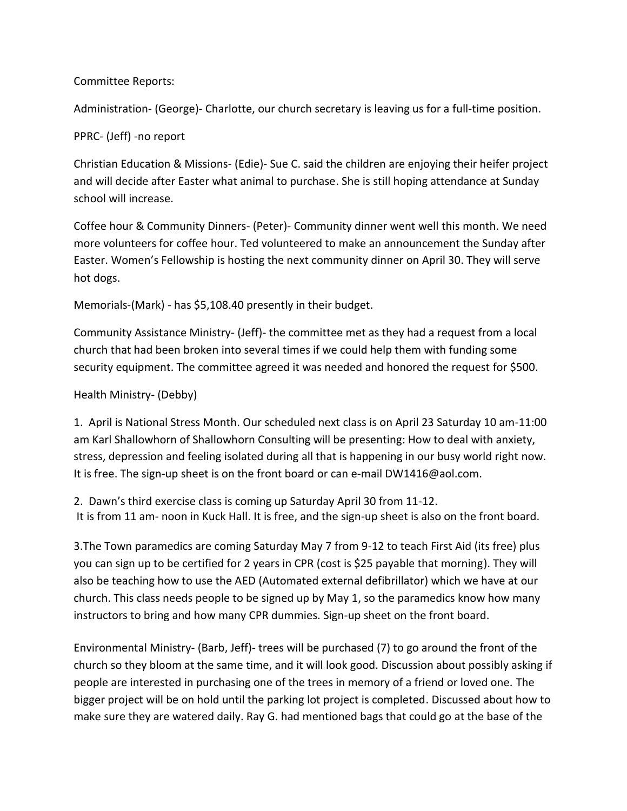## Committee Reports:

Administration- (George)- Charlotte, our church secretary is leaving us for a full-time position.

### PPRC- (Jeff) -no report

Christian Education & Missions- (Edie)- Sue C. said the children are enjoying their heifer project and will decide after Easter what animal to purchase. She is still hoping attendance at Sunday school will increase.

Coffee hour & Community Dinners- (Peter)- Community dinner went well this month. We need more volunteers for coffee hour. Ted volunteered to make an announcement the Sunday after Easter. Women's Fellowship is hosting the next community dinner on April 30. They will serve hot dogs.

Memorials-(Mark) - has \$5,108.40 presently in their budget.

Community Assistance Ministry- (Jeff)- the committee met as they had a request from a local church that had been broken into several times if we could help them with funding some security equipment. The committee agreed it was needed and honored the request for \$500.

## Health Ministry- (Debby)

1. April is National Stress Month. Our scheduled next class is on April 23 Saturday 10 am-11:00 am Karl Shallowhorn of Shallowhorn Consulting will be presenting: How to deal with anxiety, stress, depression and feeling isolated during all that is happening in our busy world right now. It is free. The sign-up sheet is on the front board or can e-mail DW1416@aol.com.

2. Dawn's third exercise class is coming up Saturday April 30 from 11-12. It is from 11 am- noon in Kuck Hall. It is free, and the sign-up sheet is also on the front board.

3.The Town paramedics are coming Saturday May 7 from 9-12 to teach First Aid (its free) plus you can sign up to be certified for 2 years in CPR (cost is \$25 payable that morning). They will also be teaching how to use the AED (Automated external defibrillator) which we have at our church. This class needs people to be signed up by May 1, so the paramedics know how many instructors to bring and how many CPR dummies. Sign-up sheet on the front board.

Environmental Ministry- (Barb, Jeff)- trees will be purchased (7) to go around the front of the church so they bloom at the same time, and it will look good. Discussion about possibly asking if people are interested in purchasing one of the trees in memory of a friend or loved one. The bigger project will be on hold until the parking lot project is completed. Discussed about how to make sure they are watered daily. Ray G. had mentioned bags that could go at the base of the